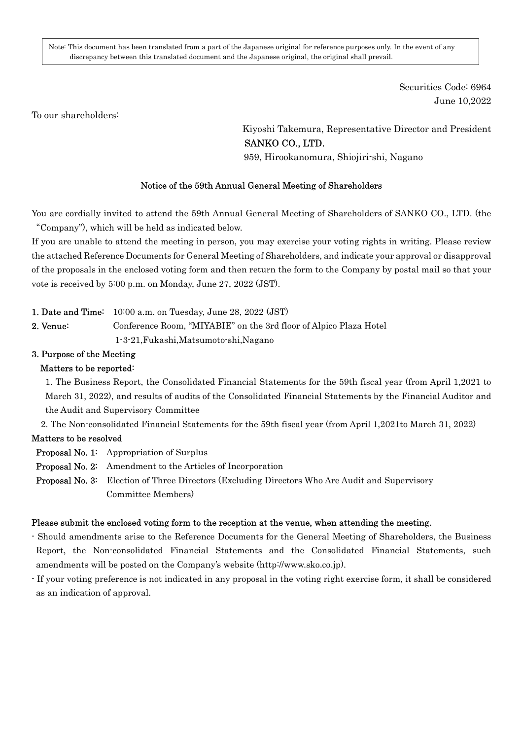Note: This document has been translated from a part of the Japanese original for reference purposes only. In the event of any discrepancy between this translated document and the Japanese original, the original shall prevail.

> Securities Code: 6964 June 10,2022

To our shareholders:

Kiyoshi Takemura, Representative Director and President SANKO CO., LTD.

959, Hirookanomura, Shiojiri-shi, Nagano

#### Notice of the 59th Annual General Meeting of Shareholders

You are cordially invited to attend the 59th Annual General Meeting of Shareholders of SANKO CO., LTD. (the "Company"), which will be held as indicated below.

If you are unable to attend the meeting in person, you may exercise your voting rights in writing. Please review the attached Reference Documents for General Meeting of Shareholders, and indicate your approval or disapproval of the proposals in the enclosed voting form and then return the form to the Company by postal mail so that your vote is received by 5:00 p.m. on Monday, June 27, 2022 (JST).

#### 1. Date and Time: 10:00 a.m. on Tuesday, June 28, 2022 (JST)

2. Venue: Conference Room, "MIYABIE" on the 3rd floor of Alpico Plaza Hotel 1-3-21,Fukashi,Matsumoto-shi,Nagano

## 3. Purpose of the Meeting

#### Matters to be reported:

1. The Business Report, the Consolidated Financial Statements for the 59th fiscal year (from April 1,2021 to March 31, 2022), and results of audits of the Consolidated Financial Statements by the Financial Auditor and the Audit and Supervisory Committee

2. The Non-consolidated Financial Statements for the 59th fiscal year (from April 1,2021to March 31, 2022)

#### Matters to be resolved

Proposal No. 1: Appropriation of Surplus

- Proposal No. 2: Amendment to the Articles of Incorporation
- Proposal No. 3: Election of Three Directors (Excluding Directors Who Are Audit and Supervisory Committee Members)

#### Please submit the enclosed voting form to the reception at the venue, when attending the meeting.

- Should amendments arise to the Reference Documents for the General Meeting of Shareholders, the Business Report, the Non-consolidated Financial Statements and the Consolidated Financial Statements, such amendments will be posted on the Company's website (http://www.sko.co.jp).
- If your voting preference is not indicated in any proposal in the voting right exercise form, it shall be considered as an indication of approval.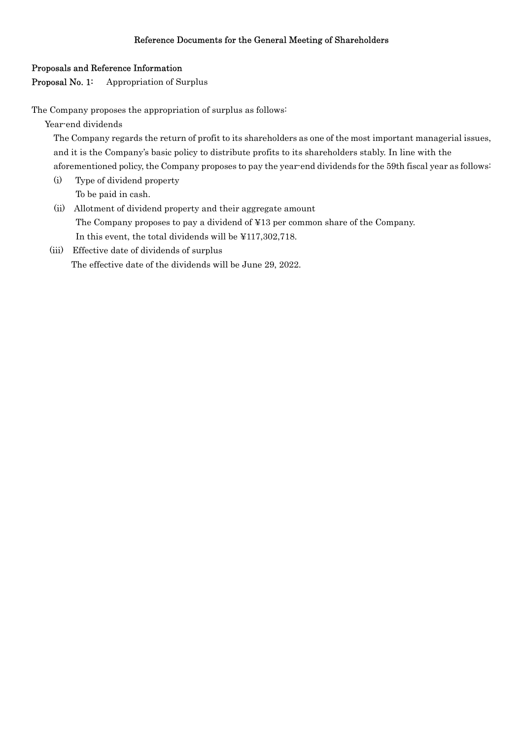# Reference Documents for the General Meeting of Shareholders

## Proposals and Reference Information

Proposal No. 1: Appropriation of Surplus

The Company proposes the appropriation of surplus as follows:

Year-end dividends

The Company regards the return of profit to its shareholders as one of the most important managerial issues, and it is the Company's basic policy to distribute profits to its shareholders stably. In line with the aforementioned policy, the Company proposes to pay the year-end dividends for the 59th fiscal year as follows:

- (i) Type of dividend property To be paid in cash.
- (ii) Allotment of dividend property and their aggregate amount The Company proposes to pay a dividend of ¥13 per common share of the Company. In this event, the total dividends will be ¥117,302,718.
- (iii) Effective date of dividends of surplus The effective date of the dividends will be June 29, 2022.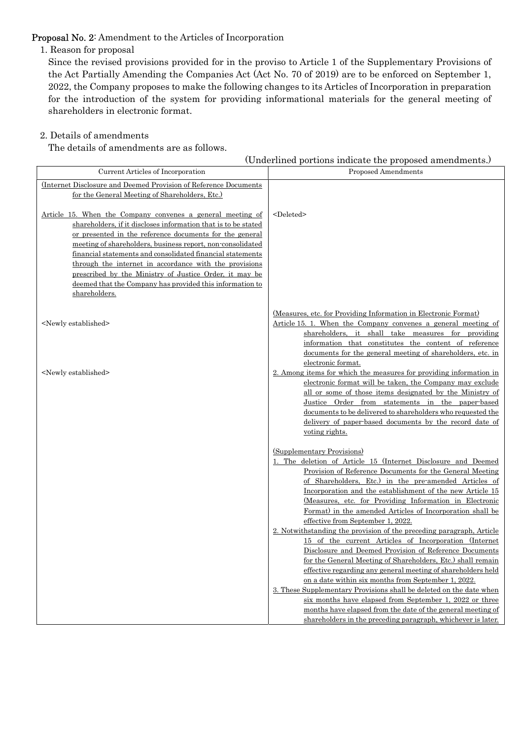# Proposal No. 2: Amendment to the Articles of Incorporation

1. Reason for proposal

Since the revised provisions provided for in the proviso to Article 1 of the Supplementary Provisions of the Act Partially Amending the Companies Act (Act No. 70 of 2019) are to be enforced on September 1, 2022, the Company proposes to make the following changes to its Articles of Incorporation in preparation for the introduction of the system for providing informational materials for the general meeting of shareholders in electronic format.

## 2. Details of amendments

The details of amendments are as follows.

| (Underlined portions indicate the proposed amendments.) |  |  |
|---------------------------------------------------------|--|--|
|---------------------------------------------------------|--|--|

| Current Articles of Incorporation                                                                                                                                                                                                                                                                                                                                                                                                                                                                                    | Proposed Amendments                                                                                                                                                                                                                                                                                                                                                                                                                                                                                                                                                                                                 |
|----------------------------------------------------------------------------------------------------------------------------------------------------------------------------------------------------------------------------------------------------------------------------------------------------------------------------------------------------------------------------------------------------------------------------------------------------------------------------------------------------------------------|---------------------------------------------------------------------------------------------------------------------------------------------------------------------------------------------------------------------------------------------------------------------------------------------------------------------------------------------------------------------------------------------------------------------------------------------------------------------------------------------------------------------------------------------------------------------------------------------------------------------|
| (Internet Disclosure and Deemed Provision of Reference Documents)<br>for the General Meeting of Shareholders, Etc.)                                                                                                                                                                                                                                                                                                                                                                                                  |                                                                                                                                                                                                                                                                                                                                                                                                                                                                                                                                                                                                                     |
| Article 15. When the Company convenes a general meeting of<br>shareholders, if it discloses information that is to be stated<br>or presented in the reference documents for the general<br>meeting of shareholders, business report, non-consolidated<br>financial statements and consolidated financial statements<br>through the internet in accordance with the provisions<br>prescribed by the Ministry of Justice Order, it may be<br>deemed that the Company has provided this information to<br>shareholders. | <deleted></deleted>                                                                                                                                                                                                                                                                                                                                                                                                                                                                                                                                                                                                 |
| <newly established=""></newly>                                                                                                                                                                                                                                                                                                                                                                                                                                                                                       | (Measures, etc. for Providing Information in Electronic Format)<br>Article 15. 1. When the Company convenes a general meeting of<br>shareholders, it shall take measures for providing<br>information that constitutes the content of reference<br>documents for the general meeting of shareholders, etc. in<br>electronic format.                                                                                                                                                                                                                                                                                 |
| <newly established=""></newly>                                                                                                                                                                                                                                                                                                                                                                                                                                                                                       | 2. Among items for which the measures for providing information in<br>electronic format will be taken, the Company may exclude<br>all or some of those items designated by the Ministry of<br>Justice Order from statements in the paper-based<br>documents to be delivered to shareholders who requested the<br>delivery of paper-based documents by the record date of<br>voting rights.                                                                                                                                                                                                                          |
|                                                                                                                                                                                                                                                                                                                                                                                                                                                                                                                      | (Supplementary Provisions)<br>1. The deletion of Article 15 (Internet Disclosure and Deemed<br>Provision of Reference Documents for the General Meeting<br>of Shareholders, Etc.) in the pre-amended Articles of<br>Incorporation and the establishment of the new Article 15<br>(Measures, etc. for Providing Information in Electronic<br>Format) in the amended Articles of Incorporation shall be                                                                                                                                                                                                               |
|                                                                                                                                                                                                                                                                                                                                                                                                                                                                                                                      | effective from September 1, 2022.<br>2. Notwithstanding the provision of the preceding paragraph, Article<br>15 of the current Articles of Incorporation (Internet<br>Disclosure and Deemed Provision of Reference Documents<br>for the General Meeting of Shareholders, Etc.) shall remain<br>effective regarding any general meeting of shareholders held<br>on a date within six months from September 1, 2022.<br>3. These Supplementary Provisions shall be deleted on the date when<br>six months have elapsed from September 1, 2022 or three<br>months have elapsed from the date of the general meeting of |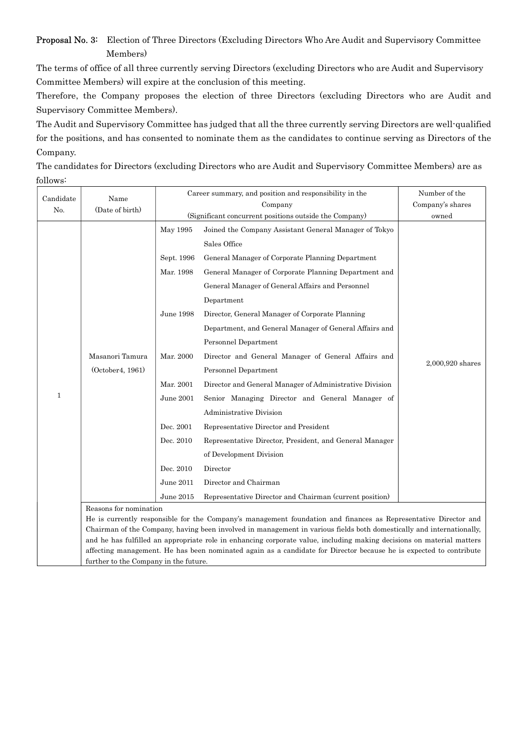Proposal No. 3: Election of Three Directors (Excluding Directors Who Are Audit and Supervisory Committee Members)

The terms of office of all three currently serving Directors (excluding Directors who are Audit and Supervisory Committee Members) will expire at the conclusion of this meeting.

Therefore, the Company proposes the election of three Directors (excluding Directors who are Audit and Supervisory Committee Members).

The Audit and Supervisory Committee has judged that all the three currently serving Directors are well-qualified for the positions, and has consented to nominate them as the candidates to continue serving as Directors of the Company.

The candidates for Directors (excluding Directors who are Audit and Supervisory Committee Members) are as follows:

| Candidate    | Name                                                                                                            | Career summary, and position and responsibility in the |                                                                                                                                                                                                                                             | Number of the    |
|--------------|-----------------------------------------------------------------------------------------------------------------|--------------------------------------------------------|---------------------------------------------------------------------------------------------------------------------------------------------------------------------------------------------------------------------------------------------|------------------|
| No.          | (Date of birth)                                                                                                 | Company                                                |                                                                                                                                                                                                                                             | Company's shares |
|              |                                                                                                                 |                                                        | (Significant concurrent positions outside the Company)                                                                                                                                                                                      |                  |
|              |                                                                                                                 | May 1995                                               | Joined the Company Assistant General Manager of Tokyo                                                                                                                                                                                       |                  |
|              |                                                                                                                 |                                                        | Sales Office                                                                                                                                                                                                                                |                  |
|              | Masanori Tamura<br>(October 4, 1961)                                                                            | Sept. 1996                                             | General Manager of Corporate Planning Department                                                                                                                                                                                            |                  |
|              |                                                                                                                 | Mar. 1998                                              | General Manager of Corporate Planning Department and                                                                                                                                                                                        |                  |
|              |                                                                                                                 |                                                        | General Manager of General Affairs and Personnel                                                                                                                                                                                            |                  |
|              |                                                                                                                 |                                                        | Department                                                                                                                                                                                                                                  |                  |
| $\mathbf{1}$ |                                                                                                                 | June 1998                                              | Director, General Manager of Corporate Planning                                                                                                                                                                                             |                  |
|              |                                                                                                                 |                                                        | Department, and General Manager of General Affairs and                                                                                                                                                                                      |                  |
|              |                                                                                                                 |                                                        | Personnel Department                                                                                                                                                                                                                        |                  |
|              |                                                                                                                 | Mar. 2000                                              | Director and General Manager of General Affairs and                                                                                                                                                                                         | 2,000,920 shares |
|              |                                                                                                                 |                                                        | Personnel Department                                                                                                                                                                                                                        |                  |
|              |                                                                                                                 | Mar. 2001                                              | Director and General Manager of Administrative Division                                                                                                                                                                                     |                  |
|              |                                                                                                                 | June 2001                                              | Senior Managing Director and General Manager of                                                                                                                                                                                             |                  |
|              |                                                                                                                 |                                                        | Administrative Division                                                                                                                                                                                                                     |                  |
|              |                                                                                                                 | Dec. 2001                                              | Representative Director and President                                                                                                                                                                                                       |                  |
|              |                                                                                                                 | Dec. 2010                                              | Representative Director, President, and General Manager                                                                                                                                                                                     |                  |
|              |                                                                                                                 |                                                        | of Development Division                                                                                                                                                                                                                     |                  |
|              |                                                                                                                 | Dec. 2010                                              | Director                                                                                                                                                                                                                                    |                  |
|              |                                                                                                                 | June 2011                                              | Director and Chairman                                                                                                                                                                                                                       |                  |
|              |                                                                                                                 | June 2015                                              | Representative Director and Chairman (current position)                                                                                                                                                                                     |                  |
|              | Reasons for nomination                                                                                          |                                                        |                                                                                                                                                                                                                                             |                  |
|              | He is currently responsible for the Company's management foundation and finances as Representative Director and |                                                        |                                                                                                                                                                                                                                             |                  |
|              |                                                                                                                 |                                                        | Chairman of the Company, having been involved in management in various fields both domestically and internationally,                                                                                                                        |                  |
|              |                                                                                                                 |                                                        | and he has fulfilled an appropriate role in enhancing corporate value, including making decisions on material matters<br>affecting management. He has been nominated again as a candidate for Director because he is expected to contribute |                  |

further to the Company in the future.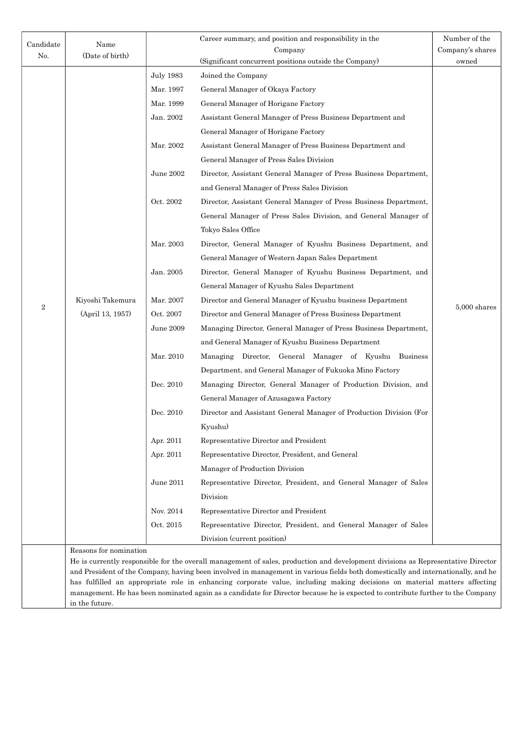| Candidate      | Name                                                                                                                                                                                                                                                        |                  | Career summary, and position and responsibility in the                                                                           | Number of the    |
|----------------|-------------------------------------------------------------------------------------------------------------------------------------------------------------------------------------------------------------------------------------------------------------|------------------|----------------------------------------------------------------------------------------------------------------------------------|------------------|
| No.            | (Date of birth)                                                                                                                                                                                                                                             | Company          |                                                                                                                                  | Company's shares |
|                |                                                                                                                                                                                                                                                             |                  | (Significant concurrent positions outside the Company)                                                                           | owned            |
|                |                                                                                                                                                                                                                                                             | <b>July 1983</b> | Joined the Company                                                                                                               |                  |
|                |                                                                                                                                                                                                                                                             | Mar. 1997        | General Manager of Okaya Factory                                                                                                 |                  |
|                |                                                                                                                                                                                                                                                             | Mar. 1999        | General Manager of Horigane Factory                                                                                              |                  |
|                |                                                                                                                                                                                                                                                             | Jan. 2002        | Assistant General Manager of Press Business Department and                                                                       |                  |
|                |                                                                                                                                                                                                                                                             |                  | General Manager of Horigane Factory                                                                                              |                  |
|                |                                                                                                                                                                                                                                                             | Mar. 2002        | Assistant General Manager of Press Business Department and                                                                       |                  |
|                |                                                                                                                                                                                                                                                             |                  | General Manager of Press Sales Division                                                                                          |                  |
|                |                                                                                                                                                                                                                                                             | June 2002        | Director, Assistant General Manager of Press Business Department,                                                                |                  |
|                |                                                                                                                                                                                                                                                             |                  | and General Manager of Press Sales Division                                                                                      |                  |
|                |                                                                                                                                                                                                                                                             | Oct. 2002        | Director, Assistant General Manager of Press Business Department,                                                                |                  |
|                |                                                                                                                                                                                                                                                             |                  | General Manager of Press Sales Division, and General Manager of                                                                  |                  |
|                |                                                                                                                                                                                                                                                             |                  | Tokyo Sales Office                                                                                                               |                  |
| $\overline{2}$ |                                                                                                                                                                                                                                                             | Mar. 2003        | Director, General Manager of Kyushu Business Department, and                                                                     |                  |
|                |                                                                                                                                                                                                                                                             |                  | General Manager of Western Japan Sales Department                                                                                |                  |
|                |                                                                                                                                                                                                                                                             | Jan. 2005        | Director, General Manager of Kyushu Business Department, and                                                                     |                  |
|                |                                                                                                                                                                                                                                                             |                  | General Manager of Kyushu Sales Department                                                                                       |                  |
|                | Kiyoshi Takemura                                                                                                                                                                                                                                            | Mar. 2007        | Director and General Manager of Kyushu business Department                                                                       | $5,\!000$ shares |
|                | (April 13, 1957)                                                                                                                                                                                                                                            | Oct. 2007        | Director and General Manager of Press Business Department                                                                        |                  |
|                |                                                                                                                                                                                                                                                             | June 2009        | Managing Director, General Manager of Press Business Department,                                                                 |                  |
|                |                                                                                                                                                                                                                                                             |                  | and General Manager of Kyushu Business Department                                                                                |                  |
|                |                                                                                                                                                                                                                                                             | Mar. 2010        | Managing Director, General Manager of Kyushu Business                                                                            |                  |
|                |                                                                                                                                                                                                                                                             |                  | Department, and General Manager of Fukuoka Mino Factory                                                                          |                  |
|                |                                                                                                                                                                                                                                                             | Dec. 2010        | Managing Director, General Manager of Production Division, and                                                                   |                  |
|                |                                                                                                                                                                                                                                                             |                  | General Manager of Azusagawa Factory                                                                                             |                  |
|                |                                                                                                                                                                                                                                                             | Dec. 2010        | Director and Assistant General Manager of Production Division (For                                                               |                  |
|                |                                                                                                                                                                                                                                                             |                  | Kyushu)                                                                                                                          |                  |
|                |                                                                                                                                                                                                                                                             | Apr. 2011        | Representative Director and President                                                                                            |                  |
|                |                                                                                                                                                                                                                                                             | Apr. 2011        | Representative Director, President, and General                                                                                  |                  |
|                |                                                                                                                                                                                                                                                             |                  | Manager of Production Division                                                                                                   |                  |
|                |                                                                                                                                                                                                                                                             | June 2011        | Representative Director, President, and General Manager of Sales                                                                 |                  |
|                |                                                                                                                                                                                                                                                             |                  | Division                                                                                                                         |                  |
|                |                                                                                                                                                                                                                                                             | Nov. 2014        | Representative Director and President                                                                                            |                  |
|                |                                                                                                                                                                                                                                                             | Oct. 2015        | Representative Director, President, and General Manager of Sales                                                                 |                  |
|                |                                                                                                                                                                                                                                                             |                  | Division (current position)                                                                                                      |                  |
|                | Reasons for nomination                                                                                                                                                                                                                                      |                  |                                                                                                                                  |                  |
|                |                                                                                                                                                                                                                                                             |                  | He is currently responsible for the overall management of sales, production and development divisions as Representative Director |                  |
|                |                                                                                                                                                                                                                                                             |                  | and President of the Company, having been involved in management in various fields both domestically and internationally, and he |                  |
|                | has fulfilled an appropriate role in enhancing corporate value, including making decisions on material matters affecting<br>management. He has been nominated again as a candidate for Director because he is expected to contribute further to the Company |                  |                                                                                                                                  |                  |

in the future.